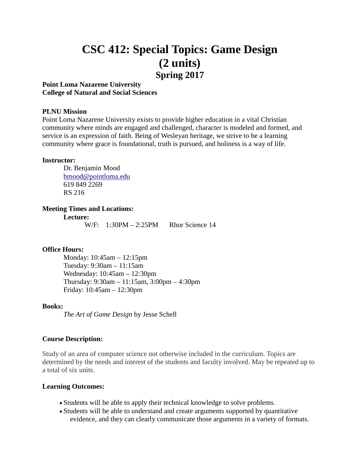# **CSC 412: Special Topics: Game Design (2 units) Spring 2017**

# **Point Loma Nazarene University College of Natural and Social Sciences**

#### **PLNU Mission**

Point Loma Nazarene University exists to provide higher education in a vital Christian community where minds are engaged and challenged, character is modeled and formed, and service is an expression of faith. Being of Wesleyan heritage, we strive to be a learning community where grace is foundational, truth is pursued, and holiness is a way of life.

#### **Instructor:**

Dr. Benjamin Mood [bmood@pointloma.edu](mailto:bmood@pointloma.edu) 619 849 2269 RS 216

#### **Meeting Times and Locations:**

**Lecture:**

W/F:  $1:30PM - 2:25PM$  Rhor Science 14

### **Office Hours:**

Monday: 10:45am – 12:15pm Tuesday: 9:30am – 11:15am Wednesday: 10:45am – 12:30pm Thursday: 9:30am – 11:15am, 3:00pm – 4:30pm Friday: 10:45am – 12:30pm

#### **Books:**

*The Art of Game Design* by Jesse Schell

#### **Course Description:**

Study of an area of computer science not otherwise included in the curriculum. Topics are determined by the needs and interest of the students and faculty involved. May be repeated up to a total of six units.

#### **Learning Outcomes:**

- Students will be able to apply their technical knowledge to solve problems.
- Students will be able to understand and create arguments supported by quantitative evidence, and they can clearly communicate those arguments in a variety of formats.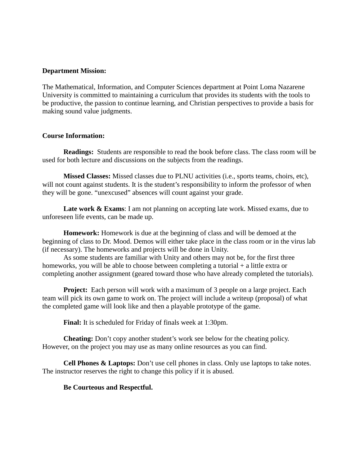#### **Department Mission:**

The Mathematical, Information, and Computer Sciences department at Point Loma Nazarene University is committed to maintaining a curriculum that provides its students with the tools to be productive, the passion to continue learning, and Christian perspectives to provide a basis for making sound value judgments.

### **Course Information:**

**Readings:** Students are responsible to read the book before class. The class room will be used for both lecture and discussions on the subjects from the readings.

**Missed Classes:** Missed classes due to PLNU activities (i.e., sports teams, choirs, etc), will not count against students. It is the student's responsibility to inform the professor of when they will be gone. "unexcused" absences will count against your grade.

Late work & Exams: I am not planning on accepting late work. Missed exams, due to unforeseen life events, can be made up.

**Homework:** Homework is due at the beginning of class and will be demoed at the beginning of class to Dr. Mood. Demos will either take place in the class room or in the virus lab (if necessary). The homeworks and projects will be done in Unity.

As some students are familiar with Unity and others may not be, for the first three homeworks, you will be able to choose between completing a tutorial + a little extra or completing another assignment (geared toward those who have already completed the tutorials).

**Project:** Each person will work with a maximum of 3 people on a large project. Each team will pick its own game to work on. The project will include a writeup (proposal) of what the completed game will look like and then a playable prototype of the game.

**Final:** It is scheduled for Friday of finals week at 1:30pm.

**Cheating:** Don't copy another student's work see below for the cheating policy. However, on the project you may use as many online resources as you can find.

**Cell Phones & Laptops:** Don't use cell phones in class. Only use laptops to take notes. The instructor reserves the right to change this policy if it is abused.

### **Be Courteous and Respectful.**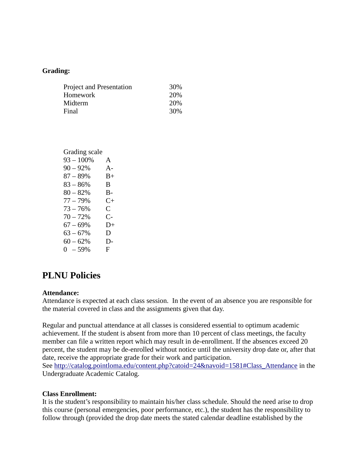### **Grading:**

| <b>Project and Presentation</b> | 30% |
|---------------------------------|-----|
| Homework                        | 20% |
| Midterm                         | 20% |
| Final                           | 30% |
|                                 |     |

| Grading scale |       |
|---------------|-------|
| $93 - 100\%$  | A     |
| $90 - 92%$    | A-    |
| $87 - 89%$    | $B+$  |
| $83 - 86%$    | B.    |
| $80 - 82%$    | $B -$ |
| $77 - 79%$    | $C+$  |
| $73 - 76%$    | C.    |
| $70 - 72%$    | $C-$  |
| $67 - 69%$    | D+    |
| $63 - 67%$    | D     |
| $60 - 62%$    | D-    |
| $0 - 59%$     | F     |
|               |       |

# **PLNU Policies**

### **Attendance:**

Attendance is expected at each class session. In the event of an absence you are responsible for the material covered in class and the assignments given that day.

Regular and punctual attendance at all classes is considered essential to optimum academic achievement. If the student is absent from more than 10 percent of class meetings, the faculty member can file a written report which may result in de-enrollment. If the absences exceed 20 percent, the student may be de-enrolled without notice until the university drop date or, after that date, receive the appropriate grade for their work and participation. See [http://catalog.pointloma.edu/content.php?catoid=24&navoid=1581#Class\\_Attendance](http://catalog.pointloma.edu/content.php?catoid=24&navoid=1581#Class_Attendance) in the Undergraduate Academic Catalog.

### **Class Enrollment:**

It is the student's responsibility to maintain his/her class schedule. Should the need arise to drop this course (personal emergencies, poor performance, etc.), the student has the responsibility to follow through (provided the drop date meets the stated calendar deadline established by the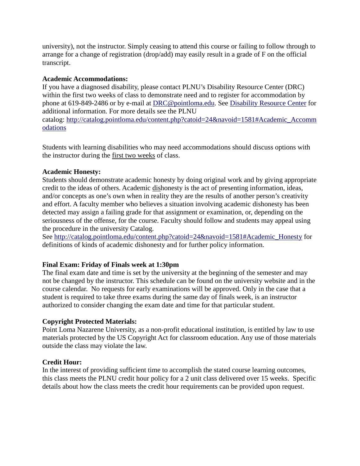university), not the instructor. Simply ceasing to attend this course or failing to follow through to arrange for a change of registration (drop/add) may easily result in a grade of F on the official transcript.

# **Academic Accommodations:**

If you have a diagnosed disability, please contact PLNU's Disability Resource Center (DRC) within the first two weeks of class to demonstrate need and to register for accommodation by phone at 619-849-2486 or by e-mail at [DRC@pointloma.edu.](mailto:DRC@pointloma.edu) See [Disability Resource Center](http://www.pointloma.edu/experience/offices/administrative-offices/academic-advising-office/disability-resource-center) for additional information. For more details see the PLNU catalog: [http://catalog.pointloma.edu/content.php?catoid=24&navoid=1581#Academic\\_Accomm](http://catalog.pointloma.edu/content.php?catoid=24&navoid=1581#Academic_Accommodations) [odations](http://catalog.pointloma.edu/content.php?catoid=24&navoid=1581#Academic_Accommodations) 

Students with learning disabilities who may need accommodations should discuss options with the instructor during the first two weeks of class.

# **Academic Honesty:**

Students should demonstrate academic honesty by doing original work and by giving appropriate credit to the ideas of others. Academic dishonesty is the act of presenting information, ideas, and/or concepts as one's own when in reality they are the results of another person's creativity and effort. A faculty member who believes a situation involving academic dishonesty has been detected may assign a failing grade for that assignment or examination, or, depending on the seriousness of the offense, for the course. Faculty should follow and students may appeal using the procedure in the university Catalog.

See [http://catalog.pointloma.edu/content.php?catoid=24&navoid=1581#Academic\\_Honesty](http://catalog.pointloma.edu/content.php?catoid=24&navoid=1581#Academic_Honesty) for definitions of kinds of academic dishonesty and for further policy information.

# **Final Exam: Friday of Finals week at 1:30pm**

The final exam date and time is set by the university at the beginning of the semester and may not be changed by the instructor. This schedule can be found on the university website and in the course calendar. No requests for early examinations will be approved. Only in the case that a student is required to take three exams during the same day of finals week, is an instructor authorized to consider changing the exam date and time for that particular student.

### **Copyright Protected Materials:**

Point Loma Nazarene University, as a non-profit educational institution, is entitled by law to use materials protected by the US Copyright Act for classroom education. Any use of those materials outside the class may violate the law.

# **Credit Hour:**

In the interest of providing sufficient time to accomplish the stated course learning outcomes, this class meets the PLNU credit hour policy for a 2 unit class delivered over 15 weeks. Specific details about how the class meets the credit hour requirements can be provided upon request.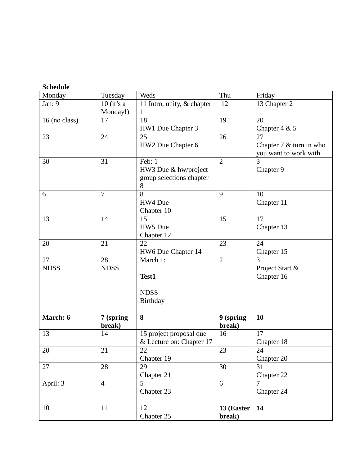| Monday        | Tuesday             | Weds                       | Thu                 | Friday                     |
|---------------|---------------------|----------------------------|---------------------|----------------------------|
| Jan: 9        | $10$ (it's a        | 11 Intro, unity, & chapter | 12                  | 13 Chapter 2               |
|               | Monday!)            | 1                          |                     |                            |
| 16 (no class) | 17                  | 18                         | 19                  | 20                         |
|               |                     | HW1 Due Chapter 3          |                     | Chapter $4 & 5$            |
| 23            | 24                  | 25                         | 26                  | 27                         |
|               |                     | HW2 Due Chapter 6          |                     | Chapter $7 \&$ turn in who |
|               |                     |                            |                     | you want to work with      |
| 30            | 31                  | Feb: 1                     | $\overline{2}$      | 3                          |
|               |                     | HW3 Due & hw/project       |                     | Chapter 9                  |
|               |                     | group selections chapter   |                     |                            |
|               |                     | 8                          |                     |                            |
| 6             | $\overline{7}$      | 8                          | 9                   | 10                         |
|               |                     | HW4 Due                    |                     | Chapter 11                 |
|               |                     | Chapter 10                 |                     |                            |
| 13            | 14                  | 15                         | 15                  | 17                         |
|               |                     | HW5 Due                    |                     | Chapter 13                 |
|               |                     | Chapter 12                 |                     |                            |
| 20            | 21                  | 22                         | 23                  | 24                         |
|               |                     | HW6 Due Chapter 14         |                     | Chapter 15                 |
| 27            | 28                  | March 1:                   | $\overline{2}$      | 3                          |
| <b>NDSS</b>   | <b>NDSS</b>         |                            |                     | Project Start &            |
|               |                     | Test1                      |                     | Chapter 16                 |
|               |                     |                            |                     |                            |
|               |                     | <b>NDSS</b>                |                     |                            |
|               |                     | Birthday                   |                     |                            |
| March: 6      |                     | 8                          |                     | 10                         |
|               | 7 (spring<br>break) |                            | 9 (spring<br>break) |                            |
| 13            | 14                  | 15 project proposal due    | 16                  | 17                         |
|               |                     | & Lecture on: Chapter 17   |                     | Chapter 18                 |
| 20            | 21                  | 22                         | 23                  | 24                         |
|               |                     | Chapter 19                 |                     | Chapter 20                 |
| 27            | 28                  | 29                         | 30                  | 31                         |
|               |                     | Chapter 21                 |                     | Chapter 22                 |
| April: 3      | $\overline{4}$      | 5                          | 6                   |                            |
|               |                     | Chapter 23                 |                     | Chapter 24                 |
|               |                     |                            |                     |                            |
| 10            | 11                  | 12                         | 13 (Easter          | 14                         |
|               |                     | Chapter 25                 | break)              |                            |
|               |                     |                            |                     |                            |